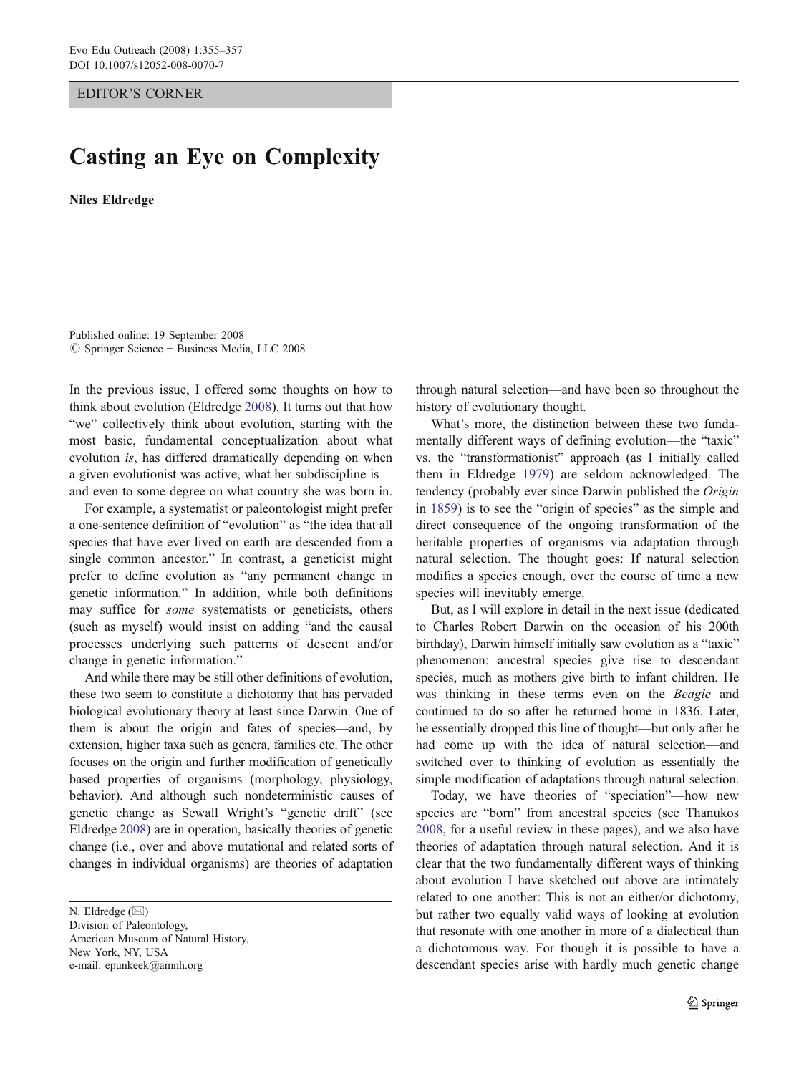EDITOR'S CORNER

## Casting an Eye on Complexity

Niles Eldredge

Published online: 19 September 2008  $\oslash$  Springer Science + Business Media, LLC 2008

In the previous issue, I offered some thoughts on how to think about evolution (Eldredge [2008](#page-2-0)). It turns out that how "we" collectively think about evolution, starting with the most basic, fundamental conceptualization about what evolution is, has differed dramatically depending on when a given evolutionist was active, what her subdiscipline is and even to some degree on what country she was born in.

For example, a systematist or paleontologist might prefer a one-sentence definition of "evolution" as "the idea that all species that have ever lived on earth are descended from a single common ancestor." In contrast, a geneticist might prefer to define evolution as "any permanent change in genetic information." In addition, while both definitions may suffice for some systematists or geneticists, others (such as myself) would insist on adding "and the causal processes underlying such patterns of descent and/or change in genetic information."

And while there may be still other definitions of evolution, these two seem to constitute a dichotomy that has pervaded biological evolutionary theory at least since Darwin. One of them is about the origin and fates of species—and, by extension, higher taxa such as genera, families etc. The other focuses on the origin and further modification of genetically based properties of organisms (morphology, physiology, behavior). And although such nondeterministic causes of genetic change as Sewall Wright's "genetic drift" (see Eldredge [2008\)](#page-2-0) are in operation, basically theories of genetic change (i.e., over and above mutational and related sorts of changes in individual organisms) are theories of adaptation

N. Eldredge (*\**) Division of Paleontology,

American Museum of Natural History, New York, NY, USA e-mail: epunkeek@amnh.org

through natural selection—and have been so throughout the history of evolutionary thought.

What's more, the distinction between these two fundamentally different ways of defining evolution—the "taxic" vs. the "transformationist" approach (as I initially called them in Eldredge [1979\)](#page-2-0) are seldom acknowledged. The tendency (probably ever since Darwin published the Origin in [1859](#page-2-0)) is to see the "origin of species" as the simple and direct consequence of the ongoing transformation of the heritable properties of organisms via adaptation through natural selection. The thought goes: If natural selection modifies a species enough, over the course of time a new species will inevitably emerge.

But, as I will explore in detail in the next issue (dedicated to Charles Robert Darwin on the occasion of his 200th birthday), Darwin himself initially saw evolution as a "taxic" phenomenon: ancestral species give rise to descendant species, much as mothers give birth to infant children. He was thinking in these terms even on the Beagle and continued to do so after he returned home in 1836. Later, he essentially dropped this line of thought—but only after he had come up with the idea of natural selection—and switched over to thinking of evolution as essentially the simple modification of adaptations through natural selection.

Today, we have theories of "speciation"—how new species are "born" from ancestral species (see Thanukos [2008](#page-2-0), for a useful review in these pages), and we also have theories of adaptation through natural selection. And it is clear that the two fundamentally different ways of thinking about evolution I have sketched out above are intimately related to one another: This is not an either/or dichotomy, but rather two equally valid ways of looking at evolution that resonate with one another in more of a dialectical than a dichotomous way. For though it is possible to have a descendant species arise with hardly much genetic change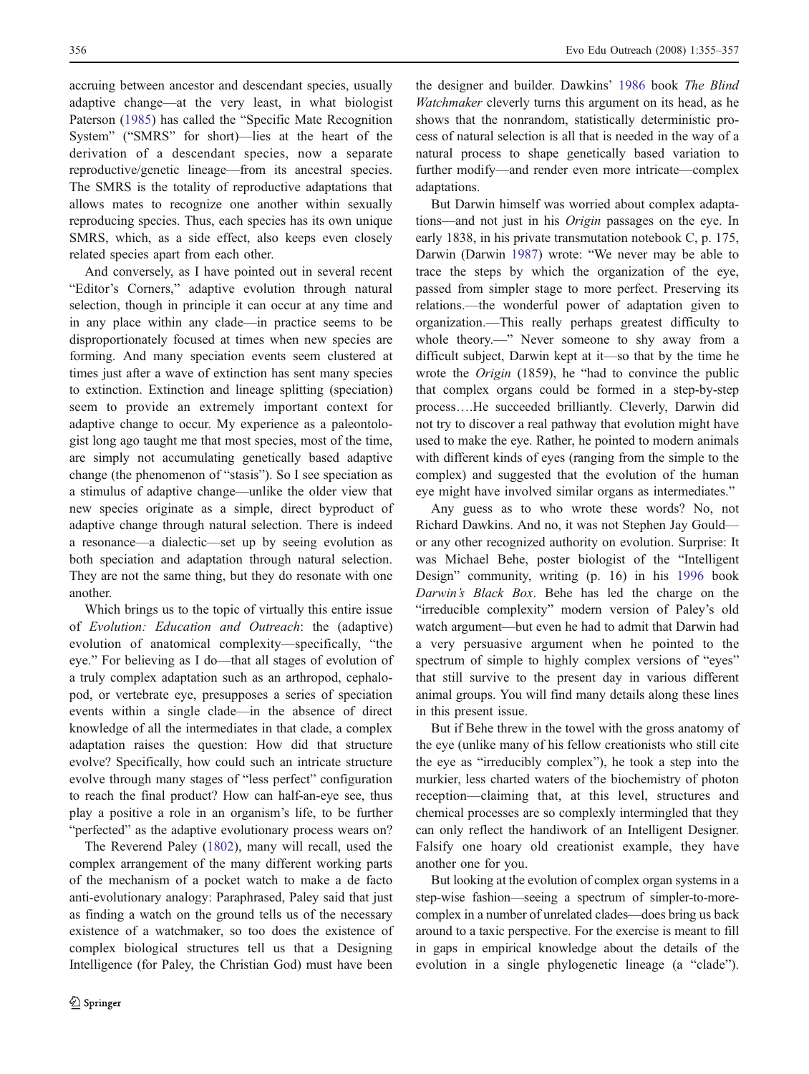accruing between ancestor and descendant species, usually adaptive change—at the very least, in what biologist Paterson ([1985\)](#page-2-0) has called the "Specific Mate Recognition System" ("SMRS" for short)—lies at the heart of the derivation of a descendant species, now a separate reproductive/genetic lineage—from its ancestral species. The SMRS is the totality of reproductive adaptations that allows mates to recognize one another within sexually reproducing species. Thus, each species has its own unique SMRS, which, as a side effect, also keeps even closely related species apart from each other.

And conversely, as I have pointed out in several recent "Editor's Corners," adaptive evolution through natural selection, though in principle it can occur at any time and in any place within any clade—in practice seems to be disproportionately focused at times when new species are forming. And many speciation events seem clustered at times just after a wave of extinction has sent many species to extinction. Extinction and lineage splitting (speciation) seem to provide an extremely important context for adaptive change to occur. My experience as a paleontologist long ago taught me that most species, most of the time, are simply not accumulating genetically based adaptive change (the phenomenon of "stasis"). So I see speciation as a stimulus of adaptive change—unlike the older view that new species originate as a simple, direct byproduct of adaptive change through natural selection. There is indeed a resonance—a dialectic—set up by seeing evolution as both speciation and adaptation through natural selection. They are not the same thing, but they do resonate with one another.

Which brings us to the topic of virtually this entire issue of Evolution: Education and Outreach: the (adaptive) evolution of anatomical complexity—specifically, "the eye." For believing as I do—that all stages of evolution of a truly complex adaptation such as an arthropod, cephalopod, or vertebrate eye, presupposes a series of speciation events within a single clade—in the absence of direct knowledge of all the intermediates in that clade, a complex adaptation raises the question: How did that structure evolve? Specifically, how could such an intricate structure evolve through many stages of "less perfect" configuration to reach the final product? How can half-an-eye see, thus play a positive a role in an organism's life, to be further "perfected" as the adaptive evolutionary process wears on?

The Reverend Paley [\(1802](#page-2-0)), many will recall, used the complex arrangement of the many different working parts of the mechanism of a pocket watch to make a de facto anti-evolutionary analogy: Paraphrased, Paley said that just as finding a watch on the ground tells us of the necessary existence of a watchmaker, so too does the existence of complex biological structures tell us that a Designing Intelligence (for Paley, the Christian God) must have been

the designer and builder. Dawkins' [1986](#page-2-0) book The Blind Watchmaker cleverly turns this argument on its head, as he shows that the nonrandom, statistically deterministic process of natural selection is all that is needed in the way of a natural process to shape genetically based variation to further modify—and render even more intricate—complex adaptations.

But Darwin himself was worried about complex adaptations—and not just in his Origin passages on the eye. In early 1838, in his private transmutation notebook C, p. 175, Darwin (Darwin [1987](#page-2-0)) wrote: "We never may be able to trace the steps by which the organization of the eye, passed from simpler stage to more perfect. Preserving its relations.—the wonderful power of adaptation given to organization.—This really perhaps greatest difficulty to whole theory.—" Never someone to shy away from a difficult subject, Darwin kept at it—so that by the time he wrote the Origin (1859), he "had to convince the public that complex organs could be formed in a step-by-step process….He succeeded brilliantly. Cleverly, Darwin did not try to discover a real pathway that evolution might have used to make the eye. Rather, he pointed to modern animals with different kinds of eyes (ranging from the simple to the complex) and suggested that the evolution of the human eye might have involved similar organs as intermediates."

Any guess as to who wrote these words? No, not Richard Dawkins. And no, it was not Stephen Jay Gould or any other recognized authority on evolution. Surprise: It was Michael Behe, poster biologist of the "Intelligent Design" community, writing (p. 16) in his [1996](#page-2-0) book Darwin*'*s Black Box. Behe has led the charge on the "irreducible complexity" modern version of Paley's old watch argument—but even he had to admit that Darwin had a very persuasive argument when he pointed to the spectrum of simple to highly complex versions of "eyes" that still survive to the present day in various different animal groups. You will find many details along these lines in this present issue.

But if Behe threw in the towel with the gross anatomy of the eye (unlike many of his fellow creationists who still cite the eye as "irreducibly complex"), he took a step into the murkier, less charted waters of the biochemistry of photon reception—claiming that, at this level, structures and chemical processes are so complexly intermingled that they can only reflect the handiwork of an Intelligent Designer. Falsify one hoary old creationist example, they have another one for you.

But looking at the evolution of complex organ systems in a step-wise fashion—seeing a spectrum of simpler-to-morecomplex in a number of unrelated clades—does bring us back around to a taxic perspective. For the exercise is meant to fill in gaps in empirical knowledge about the details of the evolution in a single phylogenetic lineage (a "clade").